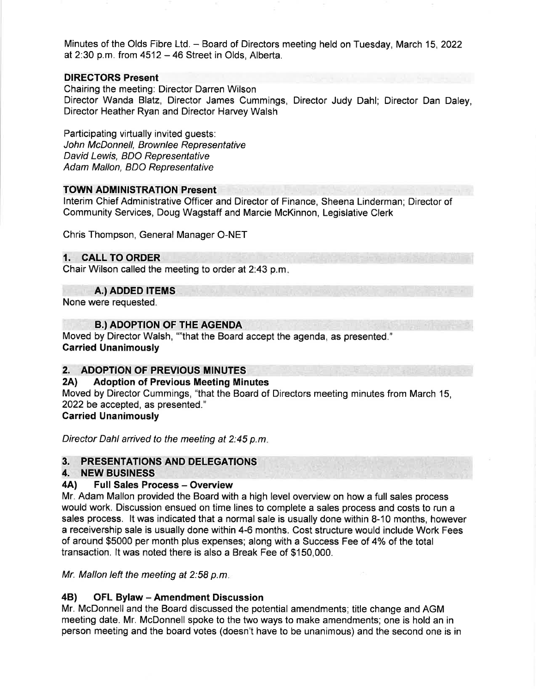Minutes of the Olds Fibre Ltd. - Board of Directors meeting held on Tuesday, March 15,2022 at  $2:30$  p.m. from  $4512 - 46$  Street in Olds, Alberta.

# DIRECTORS Present

Chairing the meeting: Director Darren Wilson Director Wanda Blatz, Director James Cummings, Director Judy Dahl; Director Dan Daley, Director Heather Ryan and Director Harvey Walsh

Participating virtually invited guests: John McDonnell, Brownlee Representative David Lewis, BDO Representative Adam Mallon, BDO Representative

### TOWN ADMINISTRATION Present

lnterim Chief Administrative Officer and Director of Finance, Sheena Linderman; Director of Community Services, Doug Wagstaff and Marcie McKinnon, Legislative Clerk

Chris Thompson, General Manager O-NET

# 1. CALL TO ORDER

Chair Wilson called the meeting to order at 2:43 p.m.

A.) ADDED ITEMS

None were requested.

# **B.) ADOPTION OF THE AGENDA**

Moved by Director Walsh, ""that the Board accept the agenda, as presented." Garried Unanimously

# 2. ADOPTION OF PREVIOUS MINUTES

### 2Al Adoption of Previous Meeting Minutes

Moved by Director Cummings, "that the Board of Directors meeting minutes from March 15, 2022 be accepted, as presented."

# Carried Unanimously

Director Dahl arrived to the meeting at 2:45 p.m

# 3. PRESENTATIONS AND DELEGATIONS<br>4. NEW BUSINESS

# 4A) Full Sales Process - Overview

Mr. Adam Mallon provided the Board with a high level overview on how a full sales process would work. Discussion ensued on time lines to complete a sales process and costs to run a sales process. lt was indicated that a normal sale is usually done within 8-10 months, however a receivership sale is usually done within 4-6 months. Cost structure would include Work Fees of around \$5000 per month plus expenses; along with a Success Fee of 4% of the total transaction. lt was noted there is also a Break Fee of \$150,000.

Mr. Mallon left the meeting at 2:58 p.m

# 48) OFL Bylaw - Amendment Discussion

Mr. McDonnell and the Board discussed the potential amendments; title change and AGM meeting date. Mr. McDonnell spoke to the two ways to make amendments; one is hold an in person meeting and the board votes (doesn't have to be unanimous) and the second one is in